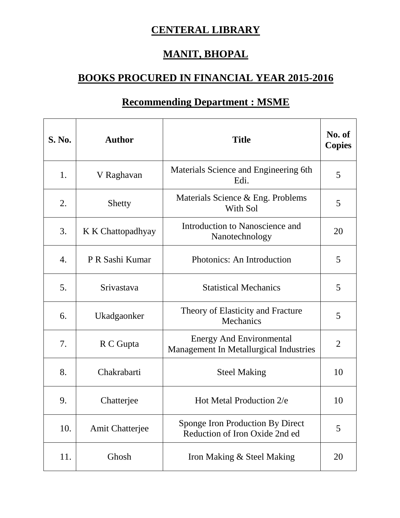## **CENTERAL LIBRARY**

## **MANIT, BHOPAL**

## **BOOKS PROCURED IN FINANCIAL YEAR 2015-2016**

| <b>S. No.</b> | <b>Author</b>          | <b>Title</b>                                                              | No. of<br><b>Copies</b> |
|---------------|------------------------|---------------------------------------------------------------------------|-------------------------|
| 1.            | V Raghavan             | Materials Science and Engineering 6th<br>Edi.                             | 5                       |
| 2.            | Shetty                 | Materials Science & Eng. Problems<br>With Sol                             | 5                       |
| 3.            | K K Chattopadhyay      | Introduction to Nanoscience and<br>Nanotechnology                         | 20                      |
| 4.            | P R Sashi Kumar        | Photonics: An Introduction                                                | 5                       |
| 5.            | Srivastava             | <b>Statistical Mechanics</b>                                              | 5                       |
| 6.            | Ukadgaonker            | Theory of Elasticity and Fracture<br>Mechanics                            | 5                       |
| 7.            | R C Gupta              | <b>Energy And Environmental</b><br>Management In Metallurgical Industries | $\overline{2}$          |
| 8.            | Chakrabarti            | <b>Steel Making</b>                                                       | 10                      |
| 9.            | Chatterjee             | Hot Metal Production 2/e                                                  | 10                      |
| 10.           | <b>Amit Chatterjee</b> | Sponge Iron Production By Direct<br>Reduction of Iron Oxide 2nd ed        | 5                       |
| 11.           | Ghosh                  | Iron Making & Steel Making                                                | 20                      |

## **Recommending Department : MSME**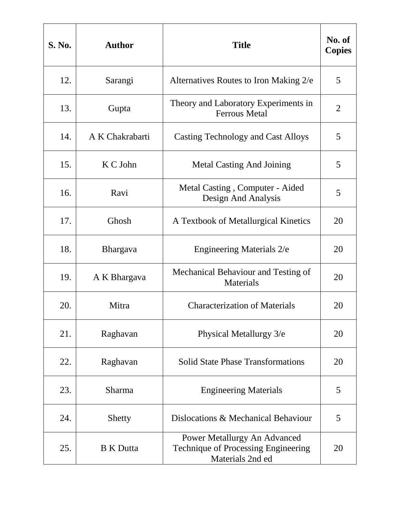| <b>S. No.</b> | <b>Author</b>    | <b>Title</b>                                                                            | No. of<br><b>Copies</b> |
|---------------|------------------|-----------------------------------------------------------------------------------------|-------------------------|
| 12.           | Sarangi          | Alternatives Routes to Iron Making 2/e                                                  | 5                       |
| 13.           | Gupta            | Theory and Laboratory Experiments in<br><b>Ferrous Metal</b>                            | 2                       |
| 14.           | A K Chakrabarti  | Casting Technology and Cast Alloys                                                      | 5                       |
| 15.           | K C John         | <b>Metal Casting And Joining</b>                                                        | 5                       |
| 16.           | Ravi             | Metal Casting, Computer - Aided<br>Design And Analysis                                  | 5                       |
| 17.           | Ghosh            | A Textbook of Metallurgical Kinetics                                                    | 20                      |
| 18.           | <b>Bhargava</b>  | <b>Engineering Materials 2/e</b>                                                        | 20                      |
| 19.           | A K Bhargava     | Mechanical Behaviour and Testing of<br><b>Materials</b>                                 | 20                      |
| 20.           | Mitra            | <b>Characterization of Materials</b>                                                    | 20                      |
| 21.           | Raghavan         | Physical Metallurgy 3/e                                                                 | 20                      |
| 22.           | Raghavan         | <b>Solid State Phase Transformations</b>                                                | 20                      |
| 23.           | <b>Sharma</b>    | <b>Engineering Materials</b>                                                            | 5                       |
| 24.           | Shetty           | Dislocations & Mechanical Behaviour                                                     | 5                       |
| 25.           | <b>B</b> K Dutta | Power Metallurgy An Advanced<br>Technique of Processing Engineering<br>Materials 2nd ed | 20                      |